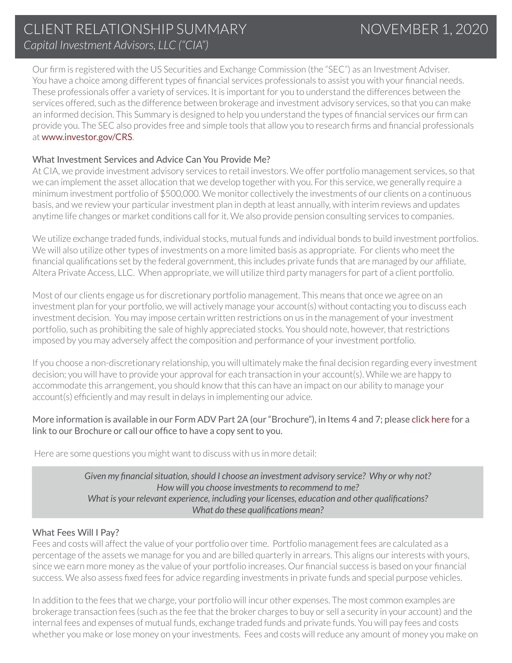Our firm is registered with the US Securities and Exchange Commission (the "SEC") as an Investment Adviser. You have a choice among different types of financial services professionals to assist you with your financial needs. These professionals offer a variety of services. It is important for you to understand the differences between the services offered, such as the difference between brokerage and investment advisory services, so that you can make an informed decision. This Summary is designed to help you understand the types of financial services our firm can provide you. The SEC also provides free and simple tools that allow you to research firms and financial professionals at [www.investor.gov/CRS](http://www.investor.gov/CRS).

### What Investment Services and Advice Can You Provide Me?

At CIA, we provide investment advisory services to retail investors. We offer portfolio management services, so that we can implement the asset allocation that we develop together with you. For this service, we generally require a minimum investment portfolio of \$500,000. We monitor collectively the investments of our clients on a continuous basis, and we review your particular investment plan in depth at least annually, with interim reviews and updates anytime life changes or market conditions call for it. We also provide pension consulting services to companies.

We utilize exchange traded funds, individual stocks, mutual funds and individual bonds to build investment portfolios. We will also utilize other types of investments on a more limited basis as appropriate. For clients who meet the financial qualifications set by the federal government, this includes private funds that are managed by our affiliate, Altera Private Access, LLC. When appropriate, we will utilize third party managers for part of a client portfolio.

Most of our clients engage us for discretionary portfolio management. This means that once we agree on an investment plan for your portfolio, we will actively manage your account(s) without contacting you to discuss each investment decision. You may impose certain written restrictions on us in the management of your investment portfolio, such as prohibiting the sale of highly appreciated stocks. You should note, however, that restrictions imposed by you may adversely affect the composition and performance of your investment portfolio.

If you choose a non-discretionary relationship, you will ultimately make the final decision regarding every investment decision; you will have to provide your approval for each transaction in your account(s). While we are happy to accommodate this arrangement, you should know that this can have an impact on our ability to manage your account(s) efficiently and may result in delays in implementing our advice.

### More information is available in our Form ADV Part 2A (our "Brochure"), in Items 4 and 7; please [click here](https://adviserinfo.sec.gov/firm/summary/158055) for a link to our Brochure or call our office to have a copy sent to you.

Here are some questions you might want to discuss with us in more detail:

*Given my financial situation, should I choose an investment advisory service? Why or why not? How will you choose investments to recommend to me? What is your relevant experience, including your licenses, education and other qualifications? What do these qualifications mean?*

#### What Fees Will I Pay?

Fees and costs will affect the value of your portfolio over time. Portfolio management fees are calculated as a percentage of the assets we manage for you and are billed quarterly in arrears. This aligns our interests with yours, since we earn more money as the value of your portfolio increases. Our financial success is based on your financial success. We also assess fixed fees for advice regarding investments in private funds and special purpose vehicles.

In addition to the fees that we charge, your portfolio will incur other expenses. The most common examples are brokerage transaction fees (such as the fee that the broker charges to buy or sell a security in your account) and the internal fees and expenses of mutual funds, exchange traded funds and private funds. You will pay fees and costs whether you make or lose money on your investments. Fees and costs will reduce any amount of money you make on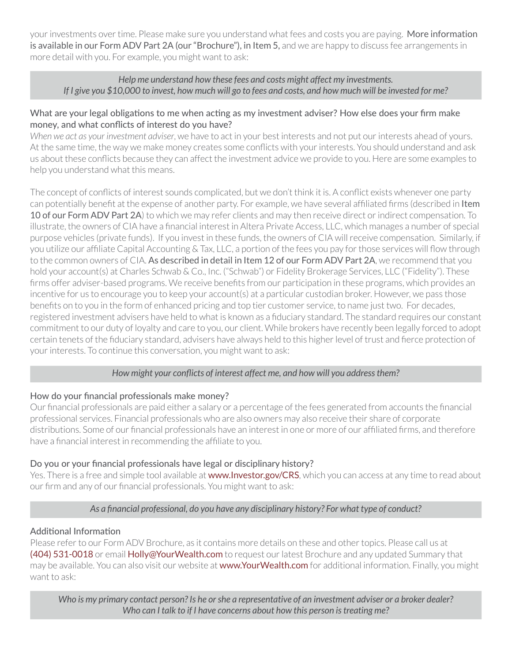your investments over time. Please make sure you understand what fees and costs you are paying. More information is available in our Form ADV Part 2A (our "Brochure"), in Item 5, and we are happy to discuss fee arrangements in more detail with you. For example, you might want to ask:

#### *Help me understand how these fees and costs might affect my investments. If I give you \$10,000 to invest, how much will go to fees and costs, and how much will be invested for me?*

### What are your legal obligations to me when acting as my investment adviser? How else does your firm make money, and what conflicts of interest do you have?

*When we act as your investment adviser*, we have to act in your best interests and not put our interests ahead of yours. At the same time, the way we make money creates some conflicts with your interests. You should understand and ask us about these conflicts because they can affect the investment advice we provide to you. Here are some examples to help you understand what this means.

The concept of conflicts of interest sounds complicated, but we don't think it is. A conflict exists whenever one party can potentially benefit at the expense of another party. For example, we have several affiliated firms (described in Item 10 of our Form ADV Part 2A) to which we may refer clients and may then receive direct or indirect compensation. To illustrate, the owners of CIA have a financial interest in Altera Private Access, LLC, which manages a number of special purpose vehicles (private funds). If you invest in these funds, the owners of CIA will receive compensation. Similarly, if you utilize our affiliate Capital Accounting & Tax, LLC, a portion of the fees you pay for those services will flow through to the common owners of CIA. As described in detail in Item 12 of our Form ADV Part 2A, we recommend that you hold your account(s) at Charles Schwab & Co., Inc. ("Schwab") or Fidelity Brokerage Services, LLC ("Fidelity"). These firms offer adviser-based programs. We receive benefits from our participation in these programs, which provides an incentive for us to encourage you to keep your account(s) at a particular custodian broker. However, we pass those benefits on to you in the form of enhanced pricing and top tier customer service, to name just two. For decades, registered investment advisers have held to what is known as a fiduciary standard. The standard requires our constant commitment to our duty of loyalty and care to you, our client. While brokers have recently been legally forced to adopt certain tenets of the fiduciary standard, advisers have always held to this higher level of trust and fierce protection of your interests. To continue this conversation, you might want to ask:

## *How might your conflicts of interest affect me, and how will you address them?*

### How do your financial professionals make money?

Our financial professionals are paid either a salary or a percentage of the fees generated from accounts the financial professional services. Financial professionals who are also owners may also receive their share of corporate distributions. Some of our financial professionals have an interest in one or more of our affiliated firms, and therefore have a financial interest in recommending the affiliate to you.

## Do you or your financial professionals have legal or disciplinary history?

Yes. There is a free and simple tool available at [www.Investor.gov/CRS](http://www.investor.gov/CRS), which you can access at any time to read about our firm and any of our financial professionals. You might want to ask:

## *As a financial professional, do you have any disciplinary history? For what type of conduct?*

## Additional Information

Please refer to our Form ADV Brochure, as it contains more details on these and other topics. Please call us at [\(404\) 531-0018](tel:404-531-0018) or email [Holly@YourWealth.com](mailto:Holly@YourWealth.com) to request our latest Brochure and any updated Summary that may be available. You can also visit our website at [www.YourWealth.com](https://www.YourWealth.com) for additional information. Finally, you might want to ask:

*Who is my primary contact person? Is he or she a representative of an investment adviser or a broker dealer? Who can I talk to if I have concerns about how this person is treating me?*